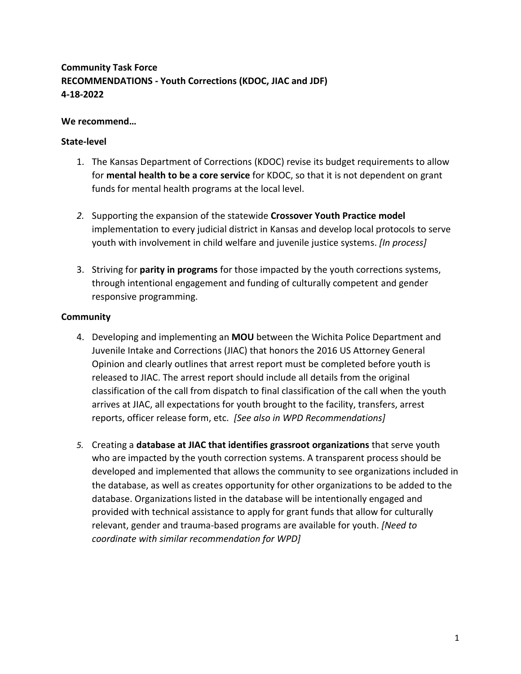# **Community Task Force RECOMMENDATIONS - Youth Corrections (KDOC, JIAC and JDF) 4-18-2022**

# **We recommend…**

### **State-level**

- 1. The Kansas Department of Corrections (KDOC) revise its budget requirements to allow for **mental health to be a core service** for KDOC, so that it is not dependent on grant funds for mental health programs at the local level.
- *2.* Supporting the expansion of the statewide **Crossover Youth Practice model** implementation to every judicial district in Kansas and develop local protocols to serve youth with involvement in child welfare and juvenile justice systems. *[In process]*
- 3. Striving for **parity in programs** for those impacted by the youth corrections systems, through intentional engagement and funding of culturally competent and gender responsive programming.

### **Community**

- 4. Developing and implementing an **MOU** between the Wichita Police Department and Juvenile Intake and Corrections (JIAC) that honors the 2016 US Attorney General Opinion and clearly outlines that arrest report must be completed before youth is released to JIAC. The arrest report should include all details from the original classification of the call from dispatch to final classification of the call when the youth arrives at JIAC, all expectations for youth brought to the facility, transfers, arrest reports, officer release form, etc. *[See also in WPD Recommendations]*
- *5.* Creating a **database at JIAC that identifies grassroot organizations** that serve youth who are impacted by the youth correction systems. A transparent process should be developed and implemented that allows the community to see organizations included in the database, as well as creates opportunity for other organizations to be added to the database. Organizations listed in the database will be intentionally engaged and provided with technical assistance to apply for grant funds that allow for culturally relevant, gender and trauma-based programs are available for youth. *[Need to coordinate with similar recommendation for WPD]*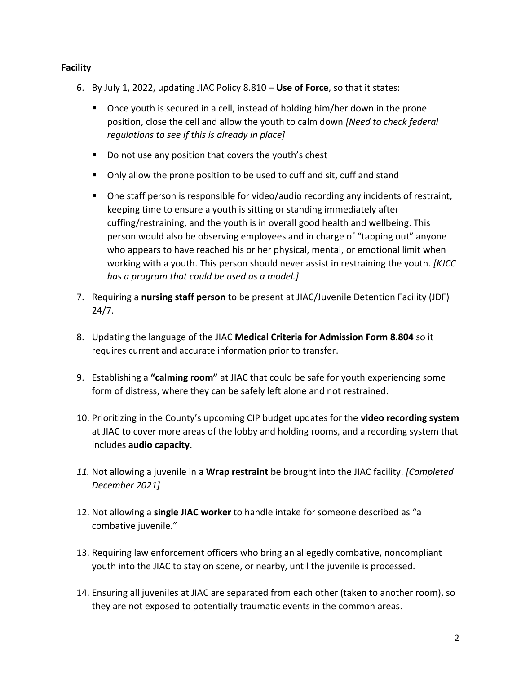# **Facility**

- 6. By July 1, 2022, updating JIAC Policy 8.810 **Use of Force**, so that it states:
	- Once youth is secured in a cell, instead of holding him/her down in the prone position, close the cell and allow the youth to calm down *[Need to check federal regulations to see if this is already in place]*
	- Do not use any position that covers the youth's chest
	- Only allow the prone position to be used to cuff and sit, cuff and stand
	- One staff person is responsible for video/audio recording any incidents of restraint, keeping time to ensure a youth is sitting or standing immediately after cuffing/restraining, and the youth is in overall good health and wellbeing. This person would also be observing employees and in charge of "tapping out" anyone who appears to have reached his or her physical, mental, or emotional limit when working with a youth. This person should never assist in restraining the youth. *[KJCC has a program that could be used as a model.]*
- 7. Requiring a **nursing staff person** to be present at JIAC/Juvenile Detention Facility (JDF) 24/7.
- 8. Updating the language of the JIAC **Medical Criteria for Admission Form 8.804** so it requires current and accurate information prior to transfer.
- 9. Establishing a **"calming room"** at JIAC that could be safe for youth experiencing some form of distress, where they can be safely left alone and not restrained.
- 10. Prioritizing in the County's upcoming CIP budget updates for the **video recording system** at JIAC to cover more areas of the lobby and holding rooms, and a recording system that includes **audio capacity**.
- *11.* Not allowing a juvenile in a **Wrap restraint** be brought into the JIAC facility. *[Completed December 2021]*
- 12. Not allowing a **single JIAC worker** to handle intake for someone described as "a combative juvenile."
- 13. Requiring law enforcement officers who bring an allegedly combative, noncompliant youth into the JIAC to stay on scene, or nearby, until the juvenile is processed.
- 14. Ensuring all juveniles at JIAC are separated from each other (taken to another room), so they are not exposed to potentially traumatic events in the common areas.